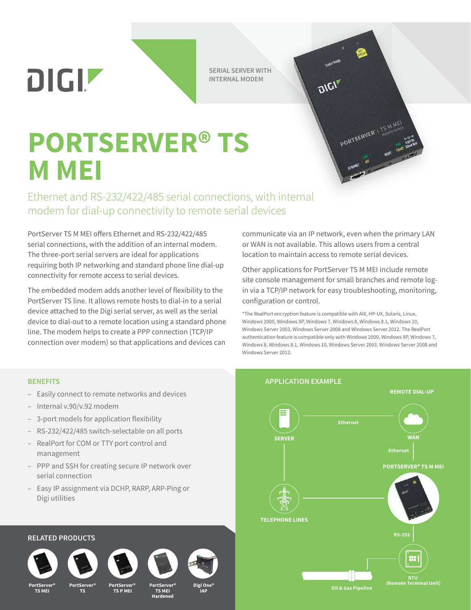DIGIZ

**SERIAL SERVER WITH INTERNAL MODEM**

DIGIT

# **PORTSERVER® TS M MEI**

Ethernet and RS-232/422/485 serial connections, with internal modem for dial-up connectivity to remote serial devices

PortServer TS M MEI offers Ethernet and RS-232/422/485 serial connections, with the addition of an internal modem. The three-port serial servers are ideal for applications requiring both IP networking and standard phone line dial-up connectivity for remote access to serial devices.

The embedded modem adds another level of flexibility to the PortServer TS line. It allows remote hosts to dial-in to a serial device attached to the Digi serial server, as well as the serial device to dial-out to a remote location using a standard phone line. The modem helps to create a PPP connection (TCP/IP connection over modem) so that applications and devices can

communicate via an IP network, even when the primary LAN or WAN is not available. This allows users from a central location to maintain access to remote serial devices.

PORTSERVER<sup>V</sup> TOOCH SERIES

Other applications for PortServer TS M MEI include remote site console management for small branches and remote login via a TCP/IP network for easy troubleshooting, monitoring, configuration or control.

\*The RealPort encryption feature is compatible with AIX, HP-UX, Solaris, Linux, Windows 2000, Windows XP, Windows 7, Windows 8, Windows 8.1, Windows 10, Windows Server 2003, Windows Server 2008 and Windows Server 2012. The RealPort authentication feature is compatible only with Windows 2000, Windows XP, Windows 7, Windows 8, Windows 8.1, Windows 10, Windows Server 2003, Windows Server 2008 and Windows Server 2012.

- Easily connect to remote networks and devices
- Internal v.90/v.92 modem
- 3-port models for application flexibility
- RS-232/422/485 switch-selectable on all ports
- RealPort for COM or TTY port control and management
- PPP and SSH for creating secure IP network over serial connection
- Easy IP assignment via DCHP, RARP, ARP-Ping or Digi utilities

# **BENEFITS APPLICATION EXAMPLE Ethernet WAN PORTSERVER® TS M MEI Ethernet SERVER REMOTE DIAL-UP RTU (Remote Terminal Unit) RS-252 TELEPHONE LINES**

**Oil & Gas Pipeline**

**PortServer® TS MEI**

**RELATED PRODUCTS**

**PortServer® PortServer®**

**TS**

 **TS P MEI PortServer®**

**TS MEI Hardened** **Digi One® IAP**